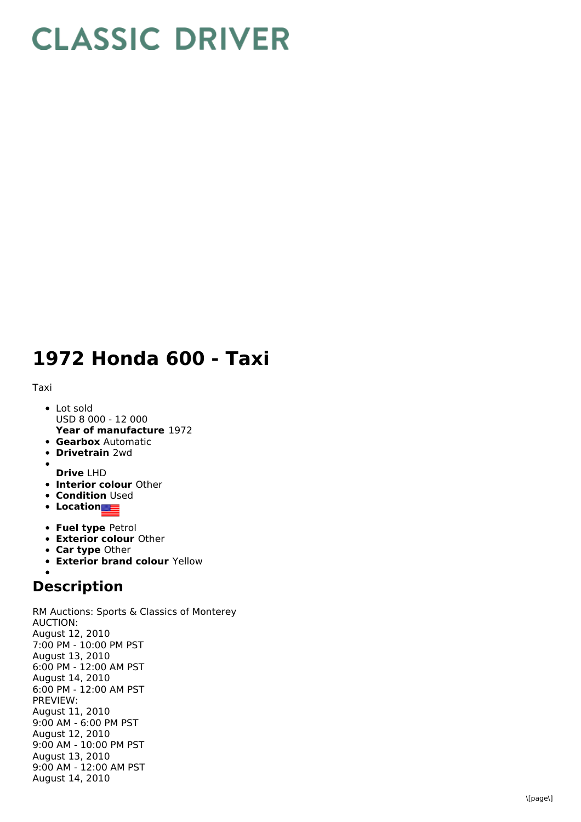## **CLASSIC DRIVER**

## 1972 Honda 600 - Taxi

T a xi

- **Year of manufacture** 1972 L o t s old USD 8 000 - 12 000
- **Gearbox** Automatic
- **Drivetrain** 2wd

**D r i v e** L H D

- **Interior colour** Other
- **Condition** Used
- **Location**
- **Fuel type Petrol**
- **Exterior colour Other**
- **Car type Other**
- **Exterior brand colour** Yellow

## **Description**

RM Auctions: Sports & Classics of Monterey A U C TIO N: August 12, 2 0 1 0 7:00 PM - 10:00 PM PST August 13, 2010 6:00 PM - 12:00 AM PST August 14, 2010 6:00 PM - 12:00 AM PST P R E VIE W: August 11, 2 0 1 0 9:00 AM - 6:00 PM PST August 12, 2010 9:00 AM - 10:00 PM PST August 13, 2010 9:00 AM - 12:00 AM PST August 14, 2010